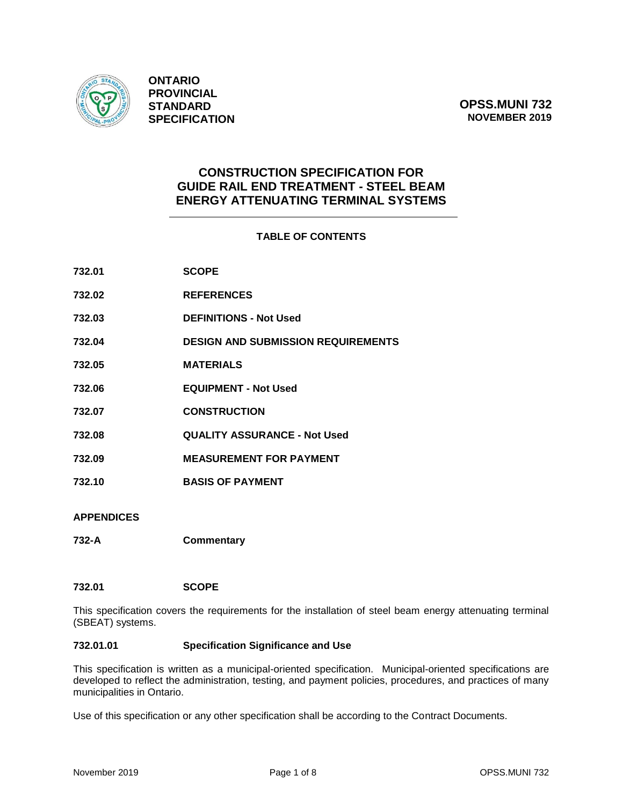

**ONTARIO PROVINCIAL STANDARD SPECIFICATION**

# **CONSTRUCTION SPECIFICATION FOR GUIDE RAIL END TREATMENT - STEEL BEAM ENERGY ATTENUATING TERMINAL SYSTEMS**

## **TABLE OF CONTENTS**

| 732.01            | <b>SCOPE</b>                              |
|-------------------|-------------------------------------------|
| 732.02            | <b>REFERENCES</b>                         |
| 732.03            | <b>DEFINITIONS - Not Used</b>             |
| 732.04            | <b>DESIGN AND SUBMISSION REQUIREMENTS</b> |
| 732.05            | <b>MATERIALS</b>                          |
| 732.06            | <b>EQUIPMENT - Not Used</b>               |
| 732.07            | <b>CONSTRUCTION</b>                       |
| 732.08            | <b>QUALITY ASSURANCE - Not Used</b>       |
| 732.09            | <b>MEASUREMENT FOR PAYMENT</b>            |
| 732.10            | <b>BASIS OF PAYMENT</b>                   |
| <b>APPENDICES</b> |                                           |

**732-A Commentary**

## **732.01 SCOPE**

This specification covers the requirements for the installation of steel beam energy attenuating terminal (SBEAT) systems.

## **732.01.01 Specification Significance and Use**

This specification is written as a municipal-oriented specification. Municipal-oriented specifications are developed to reflect the administration, testing, and payment policies, procedures, and practices of many municipalities in Ontario.

Use of this specification or any other specification shall be according to the Contract Documents.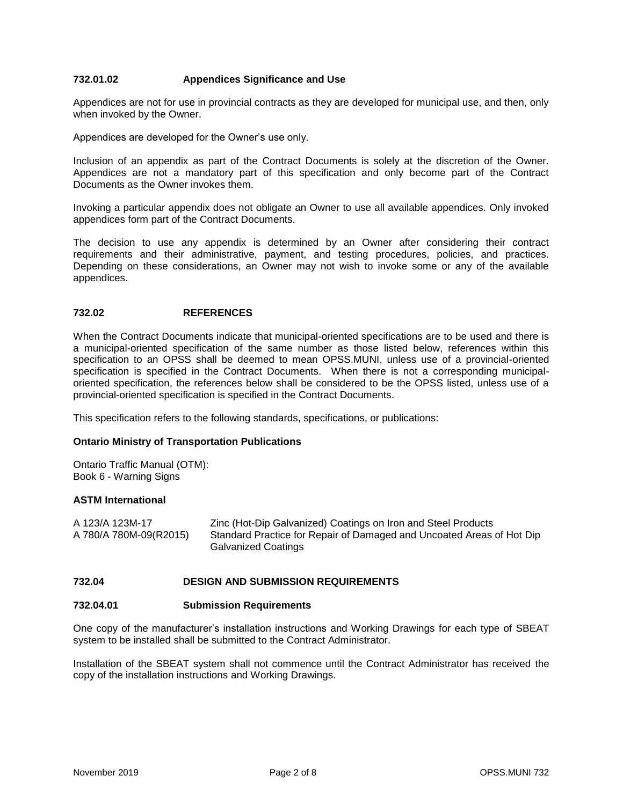## **732.01.02 Appendices Significance and Use**

Appendices are not for use in provincial contracts as they are developed for municipal use, and then, only when invoked by the Owner.

Appendices are developed for the Owner's use only.

Inclusion of an appendix as part of the Contract Documents is solely at the discretion of the Owner. Appendices are not a mandatory part of this specification and only become part of the Contract Documents as the Owner invokes them.

Invoking a particular appendix does not obligate an Owner to use all available appendices. Only invoked appendices form part of the Contract Documents.

The decision to use any appendix is determined by an Owner after considering their contract requirements and their administrative, payment, and testing procedures, policies, and practices. Depending on these considerations, an Owner may not wish to invoke some or any of the available appendices.

## **732.02 REFERENCES**

When the Contract Documents indicate that municipal-oriented specifications are to be used and there is a municipal-oriented specification of the same number as those listed below, references within this specification to an OPSS shall be deemed to mean OPSS.MUNI, unless use of a provincial-oriented specification is specified in the Contract Documents. When there is not a corresponding municipaloriented specification, the references below shall be considered to be the OPSS listed, unless use of a provincial-oriented specification is specified in the Contract Documents.

This specification refers to the following standards, specifications, or publications:

## **Ontario Ministry of Transportation Publications**

Ontario Traffic Manual (OTM): Book 6 - Warning Signs

## **ASTM International**

A 123/A 123M-17 Zinc (Hot-Dip Galvanized) Coatings on Iron and Steel Products A 780/A 780M-09(R2015) Standard Practice for Repair of Damaged and Uncoated Areas of Hot Dip Galvanized Coatings

## **732.04 DESIGN AND SUBMISSION REQUIREMENTS**

## **732.04.01 Submission Requirements**

One copy of the manufacturer's installation instructions and Working Drawings for each type of SBEAT system to be installed shall be submitted to the Contract Administrator.

Installation of the SBEAT system shall not commence until the Contract Administrator has received the copy of the installation instructions and Working Drawings.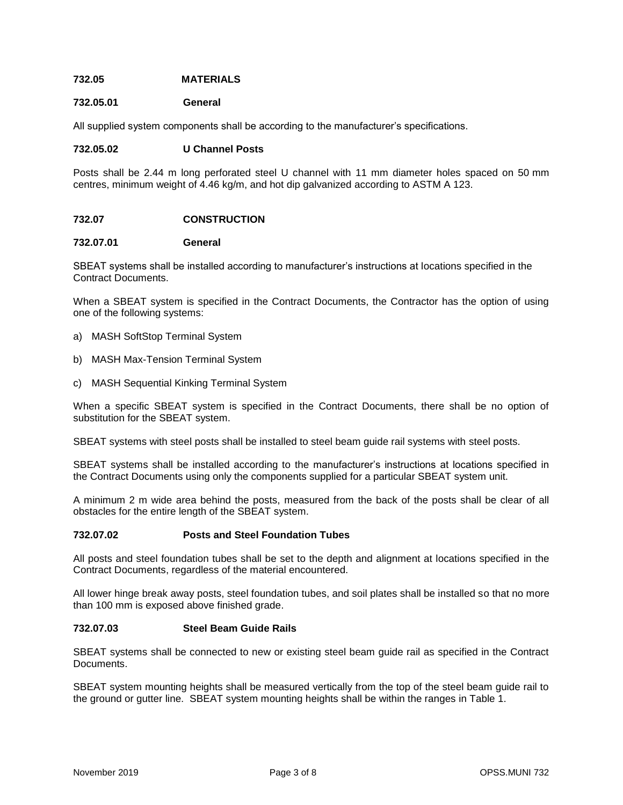## **732.05 MATERIALS**

#### **732.05.01 General**

All supplied system components shall be according to the manufacturer's specifications.

#### **732.05.02 U Channel Posts**

Posts shall be 2.44 m long perforated steel U channel with 11 mm diameter holes spaced on 50 mm centres, minimum weight of 4.46 kg/m, and hot dip galvanized according to ASTM A 123.

## **732.07 CONSTRUCTION**

#### **732.07.01 General**

SBEAT systems shall be installed according to manufacturer's instructions at locations specified in the Contract Documents.

When a SBEAT system is specified in the Contract Documents, the Contractor has the option of using one of the following systems:

- a) MASH SoftStop Terminal System
- b) MASH Max-Tension Terminal System
- c) MASH Sequential Kinking Terminal System

When a specific SBEAT system is specified in the Contract Documents, there shall be no option of substitution for the SBEAT system.

SBEAT systems with steel posts shall be installed to steel beam guide rail systems with steel posts.

SBEAT systems shall be installed according to the manufacturer's instructions at locations specified in the Contract Documents using only the components supplied for a particular SBEAT system unit.

A minimum 2 m wide area behind the posts, measured from the back of the posts shall be clear of all obstacles for the entire length of the SBEAT system.

#### **732.07.02 Posts and Steel Foundation Tubes**

All posts and steel foundation tubes shall be set to the depth and alignment at locations specified in the Contract Documents, regardless of the material encountered.

All lower hinge break away posts, steel foundation tubes, and soil plates shall be installed so that no more than 100 mm is exposed above finished grade.

#### **732.07.03 Steel Beam Guide Rails**

SBEAT systems shall be connected to new or existing steel beam guide rail as specified in the Contract Documents.

SBEAT system mounting heights shall be measured vertically from the top of the steel beam guide rail to the ground or gutter line. SBEAT system mounting heights shall be within the ranges in Table 1.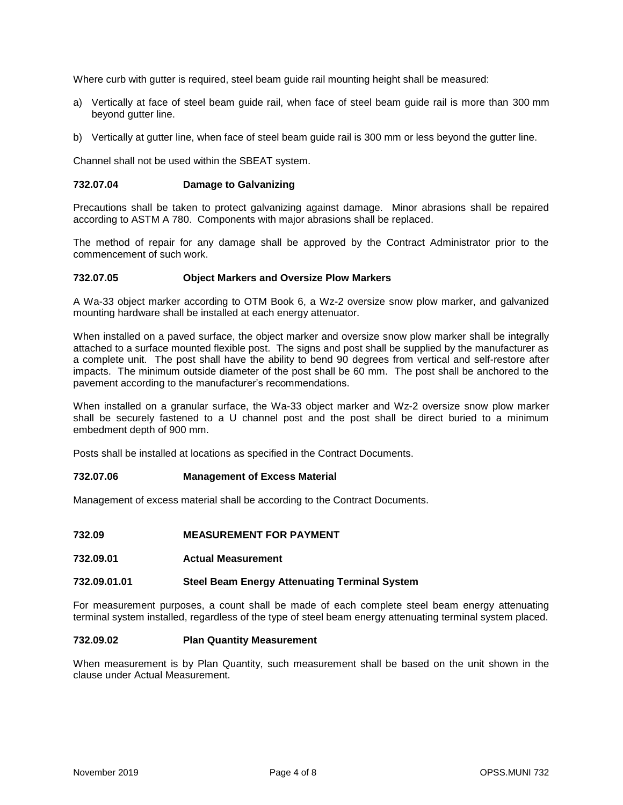Where curb with gutter is required, steel beam guide rail mounting height shall be measured:

- a) Vertically at face of steel beam guide rail, when face of steel beam guide rail is more than 300 mm beyond gutter line.
- b) Vertically at gutter line, when face of steel beam guide rail is 300 mm or less beyond the gutter line.

Channel shall not be used within the SBEAT system.

## **732.07.04 Damage to Galvanizing**

Precautions shall be taken to protect galvanizing against damage. Minor abrasions shall be repaired according to ASTM A 780. Components with major abrasions shall be replaced.

The method of repair for any damage shall be approved by the Contract Administrator prior to the commencement of such work.

### **732.07.05 Object Markers and Oversize Plow Markers**

A Wa-33 object marker according to OTM Book 6, a Wz-2 oversize snow plow marker, and galvanized mounting hardware shall be installed at each energy attenuator.

When installed on a paved surface, the object marker and oversize snow plow marker shall be integrally attached to a surface mounted flexible post. The signs and post shall be supplied by the manufacturer as a complete unit. The post shall have the ability to bend 90 degrees from vertical and self-restore after impacts. The minimum outside diameter of the post shall be 60 mm. The post shall be anchored to the pavement according to the manufacturer's recommendations.

When installed on a granular surface, the Wa-33 object marker and Wz-2 oversize snow plow marker shall be securely fastened to a U channel post and the post shall be direct buried to a minimum embedment depth of 900 mm.

Posts shall be installed at locations as specified in the Contract Documents.

## **732.07.06 Management of Excess Material**

Management of excess material shall be according to the Contract Documents.

- **732.09 MEASUREMENT FOR PAYMENT**
- **732.09.01 Actual Measurement**

## **732.09.01.01 Steel Beam Energy Attenuating Terminal System**

For measurement purposes, a count shall be made of each complete steel beam energy attenuating terminal system installed, regardless of the type of steel beam energy attenuating terminal system placed.

#### **732.09.02 Plan Quantity Measurement**

When measurement is by Plan Quantity, such measurement shall be based on the unit shown in the clause under Actual Measurement.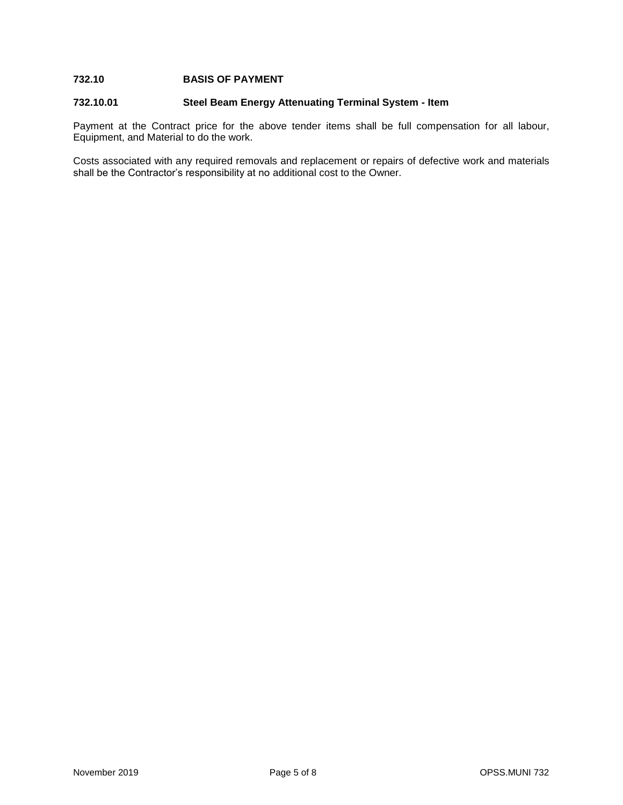## **732.10 BASIS OF PAYMENT**

### **732.10.01 Steel Beam Energy Attenuating Terminal System - Item**

Payment at the Contract price for the above tender items shall be full compensation for all labour, Equipment, and Material to do the work.

Costs associated with any required removals and replacement or repairs of defective work and materials shall be the Contractor's responsibility at no additional cost to the Owner.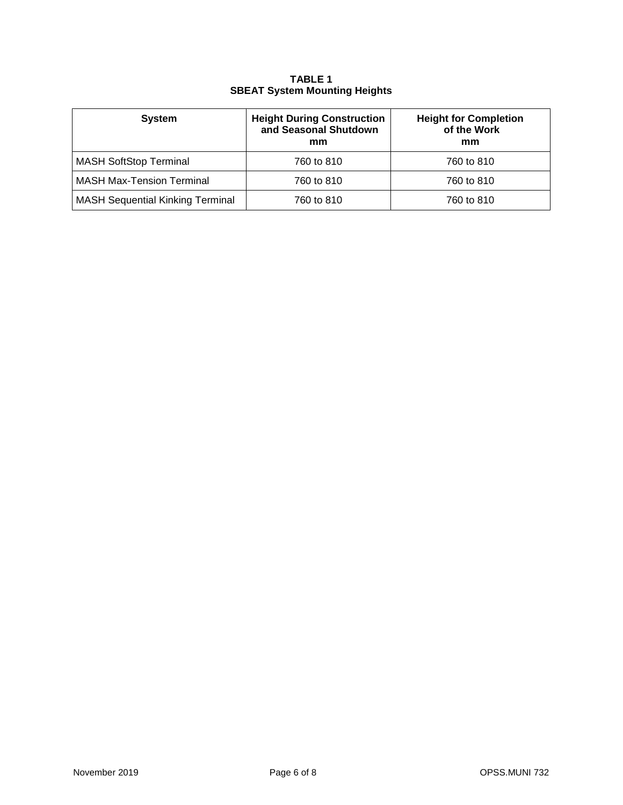# **TABLE 1 SBEAT System Mounting Heights**

| <b>System</b>                           | <b>Height During Construction</b><br>and Seasonal Shutdown<br>mm | <b>Height for Completion</b><br>of the Work<br>mm |
|-----------------------------------------|------------------------------------------------------------------|---------------------------------------------------|
| <b>MASH SoftStop Terminal</b>           | 760 to 810                                                       | 760 to 810                                        |
| <b>MASH Max-Tension Terminal</b>        | 760 to 810                                                       | 760 to 810                                        |
| <b>MASH Sequential Kinking Terminal</b> | 760 to 810                                                       | 760 to 810                                        |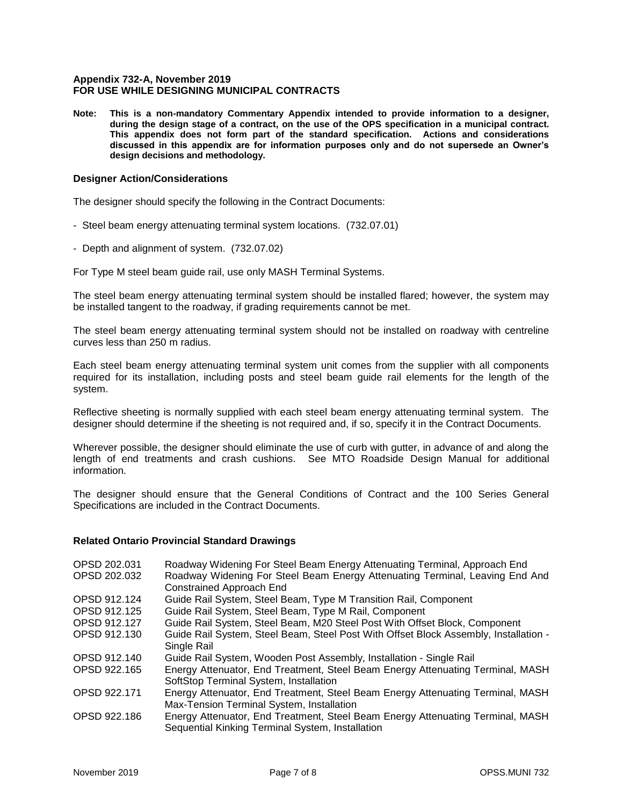### **Appendix 732-A, November 2019 FOR USE WHILE DESIGNING MUNICIPAL CONTRACTS**

**Note: This is a non-mandatory Commentary Appendix intended to provide information to a designer, during the design stage of a contract, on the use of the OPS specification in a municipal contract. This appendix does not form part of the standard specification. Actions and considerations discussed in this appendix are for information purposes only and do not supersede an Owner's design decisions and methodology.**

## **Designer Action/Considerations**

The designer should specify the following in the Contract Documents:

- Steel beam energy attenuating terminal system locations. (732.07.01)
- Depth and alignment of system. (732.07.02)

For Type M steel beam guide rail, use only MASH Terminal Systems.

The steel beam energy attenuating terminal system should be installed flared; however, the system may be installed tangent to the roadway, if grading requirements cannot be met.

The steel beam energy attenuating terminal system should not be installed on roadway with centreline curves less than 250 m radius.

Each steel beam energy attenuating terminal system unit comes from the supplier with all components required for its installation, including posts and steel beam guide rail elements for the length of the system.

Reflective sheeting is normally supplied with each steel beam energy attenuating terminal system. The designer should determine if the sheeting is not required and, if so, specify it in the Contract Documents.

Wherever possible, the designer should eliminate the use of curb with gutter, in advance of and along the length of end treatments and crash cushions. See MTO Roadside Design Manual for additional information.

The designer should ensure that the General Conditions of Contract and the 100 Series General Specifications are included in the Contract Documents.

#### **Related Ontario Provincial Standard Drawings**

| OPSD 202.031 | Roadway Widening For Steel Beam Energy Attenuating Terminal, Approach End            |
|--------------|--------------------------------------------------------------------------------------|
| OPSD 202.032 | Roadway Widening For Steel Beam Energy Attenuating Terminal, Leaving End And         |
|              | <b>Constrained Approach End</b>                                                      |
| OPSD 912.124 | Guide Rail System, Steel Beam, Type M Transition Rail, Component                     |
| OPSD 912.125 | Guide Rail System, Steel Beam, Type M Rail, Component                                |
| OPSD 912.127 | Guide Rail System, Steel Beam, M20 Steel Post With Offset Block, Component           |
| OPSD 912.130 | Guide Rail System, Steel Beam, Steel Post With Offset Block Assembly, Installation - |
|              | Single Rail                                                                          |
| OPSD 912.140 | Guide Rail System, Wooden Post Assembly, Installation - Single Rail                  |
| OPSD 922.165 | Energy Attenuator, End Treatment, Steel Beam Energy Attenuating Terminal, MASH       |
|              | SoftStop Terminal System, Installation                                               |
| OPSD 922.171 | Energy Attenuator, End Treatment, Steel Beam Energy Attenuating Terminal, MASH       |
|              | Max-Tension Terminal System, Installation                                            |
| OPSD 922.186 | Energy Attenuator, End Treatment, Steel Beam Energy Attenuating Terminal, MASH       |
|              | Sequential Kinking Terminal System, Installation                                     |